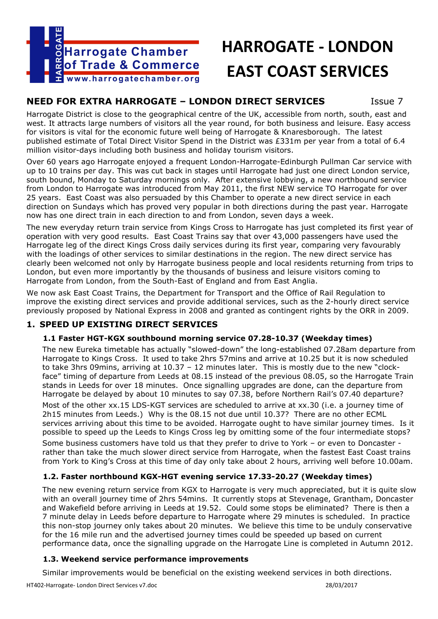

# **HARROGATE - LONDON EAST COAST SERVICES**

# **NEED FOR EXTRA HARROGATE – LONDON DIRECT SERVICES** Issue 7

Harrogate District is close to the geographical centre of the UK, accessible from north, south, east and west. It attracts large numbers of visitors all the year round, for both business and leisure. Easy access for visitors is vital for the economic future well being of Harrogate & Knaresborough. The latest published estimate of Total Direct Visitor Spend in the District was £331m per year from a total of 6.4 million visitor-days including both business and holiday tourism visitors.

Over 60 years ago Harrogate enjoyed a frequent London-Harrogate-Edinburgh Pullman Car service with up to 10 trains per day. This was cut back in stages until Harrogate had just one direct London service, south bound, Monday to Saturday mornings only. After extensive lobbying, a new northbound service from London to Harrogate was introduced from May 2011, the first NEW service TO Harrogate for over 25 years. East Coast was also persuaded by this Chamber to operate a new direct service in each direction on Sundays which has proved very popular in both directions during the past year. Harrogate now has one direct train in each direction to and from London, seven days a week.

The new everyday return train service from Kings Cross to Harrogate has just completed its first year of operation with very good results. East Coast Trains say that over 43,000 passengers have used the Harrogate leg of the direct Kings Cross daily services during its first year, comparing very favourably with the loadings of other services to similar destinations in the region. The new direct service has clearly been welcomed not only by Harrogate business people and local residents returning from trips to London, but even more importantly by the thousands of business and leisure visitors coming to Harrogate from London, from the South-East of England and from East Anglia.

We now ask East Coast Trains, the Department for Transport and the Office of Rail Regulation to improve the existing direct services and provide additional services, such as the 2-hourly direct service previously proposed by National Express in 2008 and granted as contingent rights by the ORR in 2009.

# **1. SPEED UP EXISTING DIRECT SERVICES**

#### **1.1 Faster HGT-KGX southbound morning service 07.28-10.37 (Weekday times)**

The new Eureka timetable has actually "slowed-down" the long-established 07.28am departure from Harrogate to Kings Cross. It used to take 2hrs 57mins and arrive at 10.25 but it is now scheduled to take 3hrs 09mins, arriving at 10.37 – 12 minutes later. This is mostly due to the new "clockface" timing of departure from Leeds at 08.15 instead of the previous 08.05, so the Harrogate Train stands in Leeds for over 18 minutes. Once signalling upgrades are done, can the departure from Harrogate be delayed by about 10 minutes to say 07.38, before Northern Rail's 07.40 departure?

Most of the other xx.15 LDS-KGT services are scheduled to arrive at xx.30 (i.e. a journey time of 2h15 minutes from Leeds.) Why is the 08.15 not due until 10.37? There are no other ECML services arriving about this time to be avoided. Harrogate ought to have similar journey times. Is it possible to speed up the Leeds to Kings Cross leg by omitting some of the four intermediate stops?

Some business customers have told us that they prefer to drive to York – or even to Doncaster rather than take the much slower direct service from Harrogate, when the fastest East Coast trains from York to King's Cross at this time of day only take about 2 hours, arriving well before 10.00am.

#### **1.2. Faster northbound KGX-HGT evening service 17.33-20.27 (Weekday times)**

The new evening return service from KGX to Harrogate is very much appreciated, but it is quite slow with an overall journey time of 2hrs 54mins. It currently stops at Stevenage, Grantham, Doncaster and Wakefield before arriving in Leeds at 19.52. Could some stops be eliminated? There is then a 7 minute delay in Leeds before departure to Harrogate where 29 minutes is scheduled. In practice this non-stop journey only takes about 20 minutes. We believe this time to be unduly conservative for the 16 mile run and the advertised journey times could be speeded up based on current performance data, once the signalling upgrade on the Harrogate Line is completed in Autumn 2012.

#### **1.3. Weekend service performance improvements**

Similar improvements would be beneficial on the existing weekend services in both directions.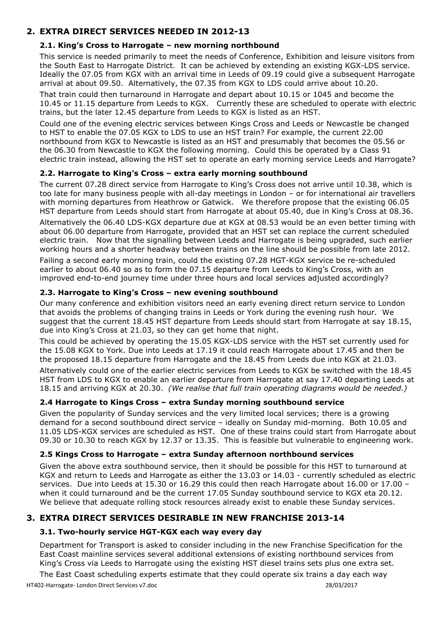## **2. EXTRA DIRECT SERVICES NEEDED IN 2012-13**

#### **2.1. King's Cross to Harrogate – new morning northbound**

This service is needed primarily to meet the needs of Conference, Exhibition and leisure visitors from the South East to Harrogate District. It can be achieved by extending an existing KGX-LDS service. Ideally the 07.05 from KGX with an arrival time in Leeds of 09.19 could give a subsequent Harrogate arrival at about 09.50. Alternatively, the 07.35 from KGX to LDS could arrive about 10.20.

That train could then turnaround in Harrogate and depart about 10.15 or 1045 and become the 10.45 or 11.15 departure from Leeds to KGX. Currently these are scheduled to operate with electric trains, but the later 12.45 departure from Leeds to KGX is listed as an HST.

Could one of the evening electric services between Kings Cross and Leeds or Newcastle be changed to HST to enable the 07.05 KGX to LDS to use an HST train? For example, the current 22.00 northbound from KGX to Newcastle is listed as an HST and presumably that becomes the 05.56 or the 06.30 from Newcastle to KGX the following morning. Could this be operated by a Class 91 electric train instead, allowing the HST set to operate an early morning service Leeds and Harrogate?

#### **2.2. Harrogate to King's Cross – extra early morning southbound**

The current 07.28 direct service from Harrogate to King's Cross does not arrive until 10.38, which is too late for many business people with all-day meetings in London – or for international air travellers with morning departures from Heathrow or Gatwick. We therefore propose that the existing 06.05 HST departure from Leeds should start from Harrogate at about 05.40, due in King's Cross at 08.36.

Alternatively the 06.40 LDS-KGX departure due at KGX at 08.53 would be an even better timing with about 06.00 departure from Harrogate, provided that an HST set can replace the current scheduled electric train. Now that the signalling between Leeds and Harrogate is being upgraded, such earlier working hours and a shorter headway between trains on the line should be possible from late 2012.

Failing a second early morning train, could the existing 07.28 HGT-KGX service be re-scheduled earlier to about 06.40 so as to form the 07.15 departure from Leeds to King's Cross, with an improved end-to-end journey time under three hours and local services adjusted accordingly?

#### **2.3. Harrogate to King's Cross – new evening southbound**

Our many conference and exhibition visitors need an early evening direct return service to London that avoids the problems of changing trains in Leeds or York during the evening rush hour. We suggest that the current 18.45 HST departure from Leeds should start from Harrogate at say 18.15, due into King's Cross at 21.03, so they can get home that night.

This could be achieved by operating the 15.05 KGX-LDS service with the HST set currently used for the 15.08 KGX to York. Due into Leeds at 17.19 it could reach Harrogate about 17.45 and then be the proposed 18.15 departure from Harrogate and the 18.45 from Leeds due into KGX at 21.03.

Alternatively could one of the earlier electric services from Leeds to KGX be switched with the 18.45 HST from LDS to KGX to enable an earlier departure from Harrogate at say 17.40 departing Leeds at 18.15 and arriving KGX at 20.30. *(We realise that full train operating diagrams would be needed.)*

#### **2.4 Harrogate to Kings Cross – extra Sunday morning southbound service**

Given the popularity of Sunday services and the very limited local services; there is a growing demand for a second southbound direct service – ideally on Sunday mid-morning. Both 10.05 and 11.05 LDS-KGX services are scheduled as HST. One of these trains could start from Harrogate about 09.30 or 10.30 to reach KGX by 12.37 or 13.35. This is feasible but vulnerable to engineering work.

#### **2.5 Kings Cross to Harrogate – extra Sunday afternoon northbound services**

Given the above extra southbound service, then it should be possible for this HST to turnaround at KGX and return to Leeds and Harrogate as either the 13.03 or 14.03 - currently scheduled as electric services. Due into Leeds at 15.30 or 16.29 this could then reach Harrogate about 16.00 or 17.00 – when it could turnaround and be the current 17.05 Sunday southbound service to KGX eta 20.12. We believe that adequate rolling stock resources already exist to enable these Sunday services.

# **3. EXTRA DIRECT SERVICES DESIRABLE IN NEW FRANCHISE 2013-14**

#### **3.1. Two-hourly service HGT-KGX each way every day**

Department for Transport is asked to consider including in the new Franchise Specification for the East Coast mainline services several additional extensions of existing northbound services from King's Cross via Leeds to Harrogate using the existing HST diesel trains sets plus one extra set.

The East Coast scheduling experts estimate that they could operate six trains a day each way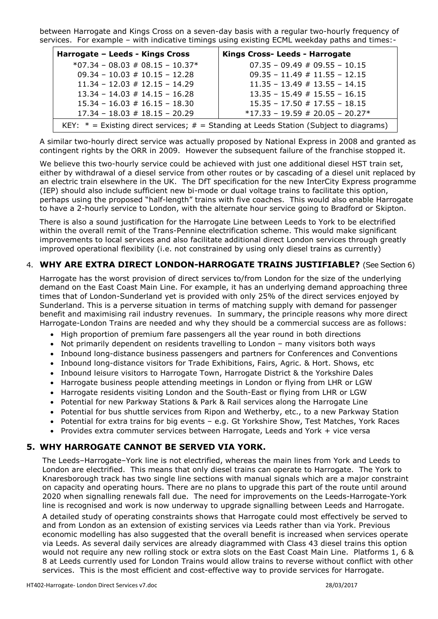between Harrogate and Kings Cross on a seven-day basis with a regular two-hourly frequency of services. For example – with indicative timings using existing ECML weekday paths and times:-

| Harrogate - Leeds - Kings Cross                                                            | <b>Kings Cross- Leeds - Harrogate</b> |
|--------------------------------------------------------------------------------------------|---------------------------------------|
| $*07.34 - 08.03 \# 08.15 - 10.37*$                                                         | $07.35 - 09.49 \# 09.55 - 10.15$      |
| $09.34 - 10.03 \# 10.15 - 12.28$                                                           | $09.35 - 11.49 \# 11.55 - 12.15$      |
| $11.34 - 12.03 \# 12.15 - 14.29$                                                           | $11.35 - 13.49 \# 13.55 - 14.15$      |
| $13.34 - 14.03 \# 14.15 - 16.28$                                                           | $13.35 - 15.49 \# 15.55 - 16.15$      |
| $15.34 - 16.03 \# 16.15 - 18.30$                                                           | $15.35 - 17.50 \# 17.55 - 18.15$      |
| $17.34 - 18.03 \# 18.15 - 20.29$                                                           | $*17.33 - 19.59 \# 20.05 - 20.27*$    |
| KEY: $*$ = Existing direct services; $#$ = Standing at Leeds Station (Subject to diagrams) |                                       |

A similar two-hourly direct service was actually proposed by National Express in 2008 and granted as contingent rights by the ORR in 2009. However the subsequent failure of the franchise stopped it.

We believe this two-hourly service could be achieved with just one additional diesel HST train set, either by withdrawal of a diesel service from other routes or by cascading of a diesel unit replaced by an electric train elsewhere in the UK. The DfT specification for the new InterCity Express programme (IEP) should also include sufficient new bi-mode or dual voltage trains to facilitate this option, perhaps using the proposed "half-length" trains with five coaches. This would also enable Harrogate to have a 2-hourly service to London, with the alternate hour service going to Bradford or Skipton.

There is also a sound justification for the Harrogate Line between Leeds to York to be electrified within the overall remit of the Trans-Pennine electrification scheme. This would make significant improvements to local services and also facilitate additional direct London services through greatly improved operational flexibility (i.e. not constrained by using only diesel trains as currently)

### 4. **WHY ARE EXTRA DIRECT LONDON-HARROGATE TRAINS JUSTIFIABLE?** (See Section 6)

Harrogate has the worst provision of direct services to/from London for the size of the underlying demand on the East Coast Main Line. For example, it has an underlying demand approaching three times that of London-Sunderland yet is provided with only 25% of the direct services enjoyed by Sunderland. This is a perverse situation in terms of matching supply with demand for passenger benefit and maximising rail industry revenues. In summary, the principle reasons why more direct Harrogate-London Trains are needed and why they should be a commercial success are as follows:

- High proportion of premium fare passengers all the year round in both directions
- Not primarily dependent on residents travelling to London many visitors both ways
- Inbound long-distance business passengers and partners for Conferences and Conventions
- Inbound long-distance visitors for Trade Exhibitions, Fairs, Agric. & Hort. Shows, etc
- Inbound leisure visitors to Harrogate Town, Harrogate District & the Yorkshire Dales
- Harrogate business people attending meetings in London or flying from LHR or LGW
- Harrogate residents visiting London and the South-East or flying from LHR or LGW
- Potential for new Parkway Stations & Park & Rail services along the Harrogate Line
- Potential for bus shuttle services from Ripon and Wetherby, etc., to a new Parkway Station
- Potential for extra trains for big events e.g. Gt Yorkshire Show, Test Matches, York Races
- Provides extra commuter services between Harrogate, Leeds and York + vice versa

#### **5. WHY HARROGATE CANNOT BE SERVED VIA YORK.**

The Leeds–Harrogate–York line is not electrified, whereas the main lines from York and Leeds to London are electrified. This means that only diesel trains can operate to Harrogate. The York to Knaresborough track has two single line sections with manual signals which are a major constraint on capacity and operating hours. There are no plans to upgrade this part of the route until around 2020 when signalling renewals fall due. The need for improvements on the Leeds-Harrogate-York line is recognised and work is now underway to upgrade signalling between Leeds and Harrogate.

A detailed study of operating constraints shows that Harrogate could most effectively be served to and from London as an extension of existing services via Leeds rather than via York. Previous economic modelling has also suggested that the overall benefit is increased when services operate via Leeds. As several daily services are already diagrammed with Class 43 diesel trains this option would not require any new rolling stock or extra slots on the East Coast Main Line. Platforms 1, 6 & 8 at Leeds currently used for London Trains would allow trains to reverse without conflict with other services. This is the most efficient and cost-effective way to provide services for Harrogate.